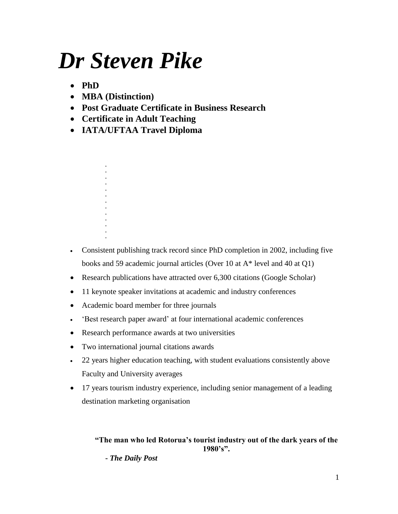# *Dr Steven Pike*

- **PhD**
- **MBA (Distinction)**
- **Post Graduate Certificate in Business Research**
- **Certificate in Adult Teaching**
- **IATA/UFTAA Travel Diploma**

**. . . . . . . . . . . .**

**.**

- Consistent publishing track record since PhD completion in 2002, including five books and 59 academic journal articles (Over 10 at A\* level and 40 at Q1)
- Research publications have attracted over 6,300 citations (Google Scholar)
- 11 keynote speaker invitations at academic and industry conferences
- Academic board member for three journals
- 'Best research paper award' at four international academic conferences
- Research performance awards at two universities
- Two international journal citations awards
- 22 years higher education teaching, with student evaluations consistently above Faculty and University averages
- 17 years tourism industry experience, including senior management of a leading destination marketing organisation

**"The man who led Rotorua's tourist industry out of the dark years of the 1980's".**

**-** *The Daily Post*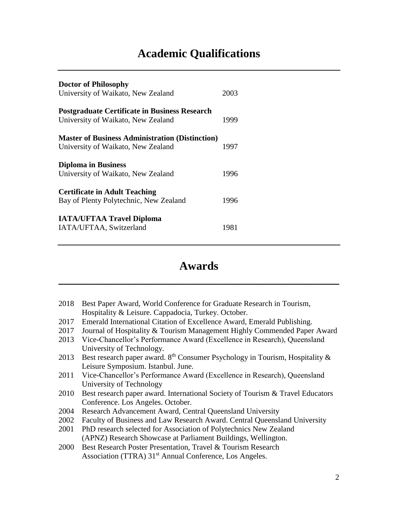# **Academic Qualifications**

| <b>Doctor of Philosophy</b><br>University of Waikato, New Zealand                            | 2003 |
|----------------------------------------------------------------------------------------------|------|
| <b>Postgraduate Certificate in Business Research</b><br>University of Waikato, New Zealand   | 1999 |
| <b>Master of Business Administration (Distinction)</b><br>University of Waikato, New Zealand | 1997 |
| <b>Diploma in Business</b><br>University of Waikato, New Zealand                             | 1996 |
| <b>Certificate in Adult Teaching</b><br>Bay of Plenty Polytechnic, New Zealand               | 1996 |
| <b>IATA/UFTAA Travel Diploma</b><br>IATA/UFTAA, Switzerland                                  | 1981 |

# **Awards**

**\_\_\_\_\_\_\_\_\_\_\_\_\_\_\_\_\_\_\_\_\_\_\_\_\_\_\_\_\_\_\_\_\_\_\_\_\_\_\_\_\_\_\_\_\_\_\_\_**

- 2018 Best Paper Award, World Conference for Graduate Research in Tourism, Hospitality & Leisure. Cappadocia, Turkey. October.
- 2017 Emerald International Citation of Excellence Award, Emerald Publishing.
- 2017 Journal of Hospitality & Tourism Management Highly Commended Paper Award
- 2013 Vice-Chancellor's Performance Award (Excellence in Research), Queensland University of Technology.
- 2013 Best research paper award.  $8<sup>th</sup>$  Consumer Psychology in Tourism, Hospitality  $\&$ Leisure Symposium. Istanbul. June.
- 2011 Vice-Chancellor's Performance Award (Excellence in Research), Queensland University of Technology
- 2010 Best research paper award. International Society of Tourism & Travel Educators Conference. Los Angeles. October.
- 2004 Research Advancement Award, Central Queensland University
- 2002 Faculty of Business and Law Research Award. Central Queensland University
- 2001 PhD research selected for Association of Polytechnics New Zealand (APNZ) Research Showcase at Parliament Buildings, Wellington.
- 2000 Best Research Poster Presentation, Travel & Tourism Research Association (TTRA) 31<sup>st</sup> Annual Conference, Los Angeles.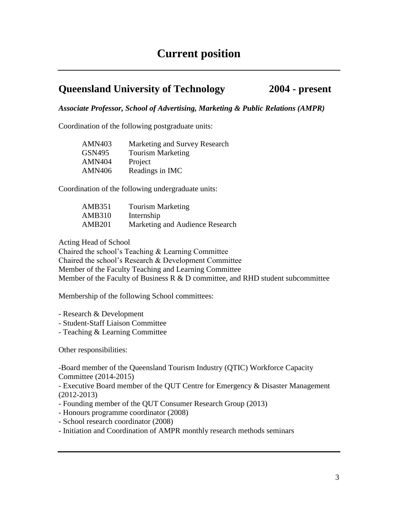# **Queensland University of Technology 2004 - present**

*Associate Professor, School of Advertising, Marketing & Public Relations (AMPR)*

Coordination of the following postgraduate units:

| <b>AMN403</b> | Marketing and Survey Research |
|---------------|-------------------------------|
| <b>GSN495</b> | <b>Tourism Marketing</b>      |
| <b>AMN404</b> | Project                       |
| <b>AMN406</b> | Readings in IMC               |

Coordination of the following undergraduate units:

| AMB351        | <b>Tourism Marketing</b>        |
|---------------|---------------------------------|
| <b>AMB310</b> | Internship                      |
| <b>AMB201</b> | Marketing and Audience Research |

Acting Head of School

Chaired the school's Teaching & Learning Committee Chaired the school's Research & Development Committee Member of the Faculty Teaching and Learning Committee Member of the Faculty of Business R  $&$  D committee, and RHD student subcommittee

Membership of the following School committees:

- Research & Development
- Student-Staff Liaison Committee
- Teaching & Learning Committee

Other responsibilities:

-Board member of the Queensland Tourism Industry (QTIC) Workforce Capacity Committee (2014-2015)

- Executive Board member of the QUT Centre for Emergency & Disaster Management (2012-2013)

- Founding member of the QUT Consumer Research Group (2013)
- Honours programme coordinator (2008)
- School research coordinator (2008)

- Initiation and Coordination of AMPR monthly research methods seminars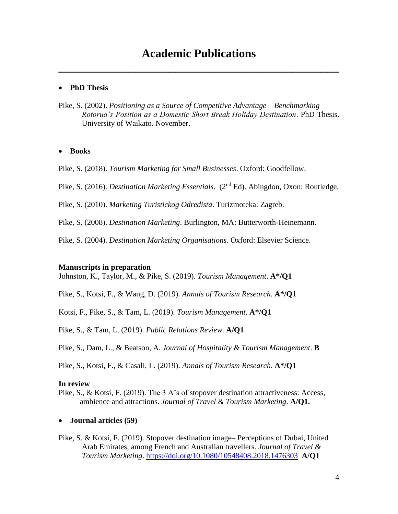# **Academic Publications**

**\_\_\_\_\_\_\_\_\_\_\_\_\_\_\_\_\_\_\_\_\_\_\_\_\_\_\_\_\_\_\_\_\_\_\_\_\_\_\_\_\_\_\_\_\_\_\_\_**

#### **PhD Thesis**

Pike, S. (2002). *Positioning as a Source of Competitive Advantage – Benchmarking Rotorua's Position as a Domestic Short Break Holiday Destination*. PhD Thesis. University of Waikato. November.

#### **Books**

Pike, S. (2018). *Tourism Marketing for Small Businesses*. Oxford: Goodfellow.

Pike, S. (2016). *Destination Marketing Essentials*. (2nd Ed). Abingdon, Oxon: Routledge.

Pike, S. (2010). *Marketing Turistickog Odredista*. Turizmoteka: Zagreb.

Pike, S. (2008). *Destination Marketing*. Burlington, MA: Butterworth-Heinemann.

Pike, S. (2004). *Destination Marketing Organisations*. Oxford: Elsevier Science.

#### **Manuscripts in preparation**

Johnston, K., Taylor, M., & Pike, S. (2019). *Tourism Management*. **A\*/Q1**

Pike, S., Kotsi, F., & Wang, D. (2019). *Annals of Tourism Research*. **A\*/Q1**

Kotsi, F., Pike, S., & Tam, L. (2019). *Tourism Management*. **A\*/Q1**

Pike, S., & Tam, L. (2019). *Public Relations Review*. **A/Q1**

Pike, S., Dam, L., & Beatson, A. *Journal of Hospitality & Tourism Management*. **B**

Pike, S., Kotsi, F., & Casali, L. (2019). *Annals of Tourism Research*. **A\*/Q1**

#### **In review**

- Pike, S., & Kotsi, F. (2019). The 3 A's of stopover destination attractiveness: Access, ambience and attractions. *Journal of Travel & Tourism Marketing*. **A/Q1.**
- **Journal articles (59)**
- Pike, S. & Kotsi, F. (2019). Stopover destination image– Perceptions of Dubai, United Arab Emirates, among French and Australian travellers. *Journal of Travel & Tourism Marketing*.<https://doi.org/10.1080/10548408.2018.1476303> **A/Q1**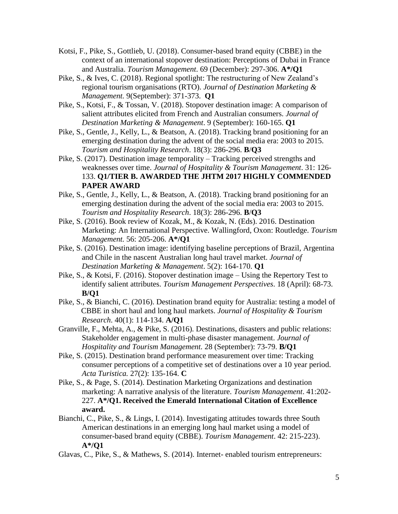- Kotsi, F., Pike, S., Gottlieb, U. (2018). Consumer-based brand equity (CBBE) in the context of an international stopover destination: Perceptions of Dubai in France and Australia. *Tourism Management*. 69 (December): 297-306. **A\*/Q1**
- Pike, S., & Ives, C. (2018). Regional spotlight: The restructuring of New Zealand's regional tourism organisations (RTO). *Journal of Destination Marketing & Management.* 9(September): 371-373. **Q1**
- Pike, S., Kotsi, F., & Tossan, V. (2018). Stopover destination image: A comparison of salient attributes elicited from French and Australian consumers. *Journal of Destination Marketing & Management*. 9 (September): 160-165. **Q1**
- Pike, S., Gentle, J., Kelly, L., & Beatson, A. (2018). Tracking brand positioning for an emerging destination during the advent of the social media era: 2003 to 2015. *Tourism and Hospitality Research*. 18(3): 286-296. **B**/**Q3**
- Pike, S. (2017). Destination image temporality Tracking perceived strengths and weaknesses over time. *Journal of Hospitality & Tourism Management*. 31: 126- 133. **Q1/TIER B. AWARDED THE JHTM 2017 HIGHLY COMMENDED PAPER AWARD**
- Pike, S., Gentle, J., Kelly, L., & Beatson, A. (2018). Tracking brand positioning for an emerging destination during the advent of the social media era: 2003 to 2015. *Tourism and Hospitality Research*. 18(3): 286-296. **B**/**Q3**
- Pike, S. (2016). Book review of Kozak, M., & Kozak, N. (Eds). 2016. Destination Marketing: An International Perspective. Wallingford, Oxon: Routledge. *Tourism Management.* 56: 205-206. **A\*/Q1**
- Pike, S. (2016). Destination image: identifying baseline perceptions of Brazil, Argentina and Chile in the nascent Australian long haul travel market. *Journal of Destination Marketing & Management*. 5(2): 164-170. **Q1**
- Pike, S., & Kotsi, F. (2016). Stopover destination image Using the Repertory Test to identify salient attributes. *Tourism Management Perspectives*. 18 (April): 68-73. **B/Q1**
- Pike, S., & Bianchi, C. (2016). Destination brand equity for Australia: testing a model of CBBE in short haul and long haul markets. *Journal of Hospitality & Tourism Research*. 40(1): 114-134. **A/Q1**
- Granville, F., Mehta, A., & Pike, S. (2016). Destinations, disasters and public relations: Stakeholder engagement in multi-phase disaster management. *Journal of Hospitality and Tourism Management.* 28 (September): 73-79. **B/Q1**
- Pike, S. (2015). Destination brand performance measurement over time: Tracking consumer perceptions of a competitive set of destinations over a 10 year period. *Acta Turistica.* 27(2): 135-164. **C**
- Pike, S., & Page, S. (2014). Destination Marketing Organizations and destination marketing: A narrative analysis of the literature. *Tourism Management*. 41:202- 227. **A\*/Q1. Received the Emerald International Citation of Excellence award.**
- Bianchi, C., Pike, S., & Lings, I. (2014). Investigating attitudes towards three South American destinations in an emerging long haul market using a model of consumer-based brand equity (CBBE). *Tourism Management*. 42: 215-223). **A\*/Q1**
- Glavas, C., Pike, S., & Mathews, S. (2014). Internet- enabled tourism entrepreneurs: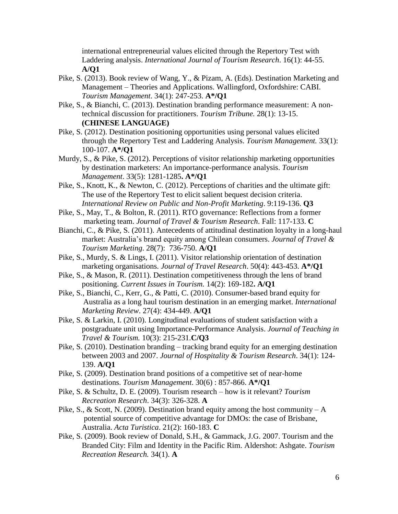international entrepreneurial values elicited through the Repertory Test with Laddering analysis. *International Journal of Tourism Research*. 16(1): 44-55. **A/Q1**

- Pike, S. (2013). Book review of Wang, Y., & Pizam, A. (Eds). Destination Marketing and Management – Theories and Applications. Wallingford, Oxfordshire: CABI. *Tourism Management*. 34(1): 247-253. **A\*/Q1**
- Pike, S., & Bianchi, C. (2013). Destination branding performance measurement: A nontechnical discussion for practitioners. *Tourism Tribune.* 28(1): 13-15. **(CHINESE LANGUAGE)**
- Pike, S. (2012). Destination positioning opportunities using personal values elicited through the Repertory Test and Laddering Analysis. *Tourism Management.* 33(1): 100-107. **A\*/Q1**
- Murdy, S., & Pike, S. (2012). Perceptions of visitor relationship marketing opportunities by destination marketers: An importance-performance analysis. *Tourism Management*. 33(5): 1281-1285**. A\*/Q1**
- Pike, S., Knott, K., & Newton, C. (2012). Perceptions of charities and the ultimate gift: The use of the Repertory Test to elicit salient bequest decision criteria. *International Review on Public and Non-Profit Marketing*. 9:119-136. **Q3**
- Pike, S., May, T., & Bolton, R. (2011). RTO governance: Reflections from a former marketing team. *Journal of Travel & Tourism Research*. Fall: 117-133. **C**
- Bianchi, C., & Pike, S. (2011). Antecedents of attitudinal destination loyalty in a long-haul market: Australia's brand equity among Chilean consumers. *Journal of Travel & Tourism Marketing*. 28(7): 736-750. **A/Q1**
- Pike, S., Murdy, S. & Lings, I. (2011). Visitor relationship orientation of destination marketing organisations. *Journal of Travel Research*. 50(4): 443-453. **A\*/Q1**
- Pike, S., & Mason, R. (2011). Destination competitiveness through the lens of brand positioning. *Current Issues in Tourism.* 14(2): 169-182**. A/Q1**
- Pike, S., Bianchi, C., Kerr, G., & Patti, C. (2010). Consumer-based brand equity for Australia as a long haul tourism destination in an emerging market. *International Marketing Review*. 27(4): 434-449. **A/Q1**
- Pike, S. & Larkin, I. (2010). Longitudinal evaluations of student satisfaction with a postgraduate unit using Importance-Performance Analysis. *Journal of Teaching in Travel & Tourism.* 10(3): 215-231.**C/Q3**
- Pike, S. (2010). Destination branding tracking brand equity for an emerging destination between 2003 and 2007. *Journal of Hospitality & Tourism Research*. 34(1): 124- 139. **A/Q1**
- Pike, S. (2009). Destination brand positions of a competitive set of near-home destinations. *Tourism Management*. 30(6) : 857-866. **A\*/Q1**
- Pike, S. & Schultz, D. E. (2009). Tourism research how is it relevant? *Tourism Recreation Research*. 34(3): 326-328. **A**
- Pike, S., & Scott, N. (2009). Destination brand equity among the host community  $-A$ potential source of competitive advantage for DMOs: the case of Brisbane, Australia. *Acta Turistica*. 21(2): 160-183. **C**
- Pike, S. (2009). Book review of Donald, S.H., & Gammack, J.G. 2007. Tourism and the Branded City: Film and Identity in the Pacific Rim. Aldershot: Ashgate. *Tourism Recreation Research.* 34(1). **A**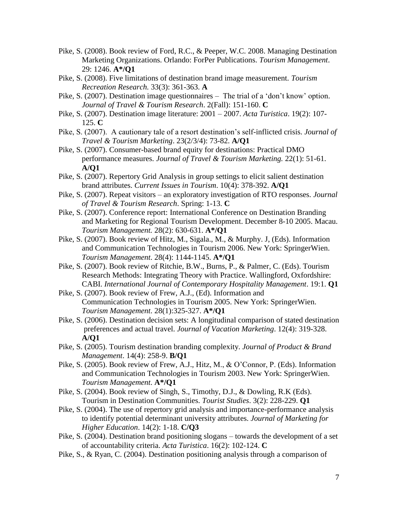- Pike, S. (2008). Book review of Ford, R.C., & Peeper, W.C. 2008. Managing Destination Marketing Organizations. Orlando: ForPer Publications. *Tourism Management*. 29: 1246. **A\*/Q1**
- Pike, S. (2008). Five limitations of destination brand image measurement. *Tourism Recreation Research.* 33(3): 361-363. **A**
- Pike, S. (2007). Destination image questionnaires The trial of a 'don't know' option. *Journal of Travel & Tourism Research*. 2(Fall): 151-160. **C**
- Pike, S. (2007). Destination image literature: 2001 2007. *Acta Turistica*. 19(2): 107- 125. **C**
- Pike, S. (2007). A cautionary tale of a resort destination's self-inflicted crisis. *Journal of Travel & Tourism Marketing*. 23(2/3/4): 73-82. **A/Q1**
- Pike, S. (2007). Consumer-based brand equity for destinations: Practical DMO performance measures. *Journal of Travel & Tourism Marketing.* 22(1): 51-61. **A/Q1**
- Pike, S. (2007). Repertory Grid Analysis in group settings to elicit salient destination brand attributes. *Current Issues in Tourism*. 10(4): 378-392. **A/Q1**
- Pike, S. (2007). Repeat visitors an exploratory investigation of RTO responses. *Journal of Travel & Tourism Research*. Spring: 1-13. **C**
- Pike, S. (2007). Conference report: International Conference on Destination Branding and Marketing for Regional Tourism Development. December 8-10 2005. Macau. *Tourism Management.* 28(2): 630-631. **A\*/Q1**
- Pike, S. (2007). Book review of Hitz, M., Sigala., M., & Murphy. J, (Eds). Information and Communication Technologies in Tourism 2006. New York: SpringerWien. *Tourism Management*. 28(4): 1144-1145. **A\*/Q1**
- Pike, S. (2007). Book review of Ritchie, B.W., Burns, P., & Palmer, C. (Eds). Tourism Research Methods: Integrating Theory with Practice. Wallingford, Oxfordshire: CABI. *International Journal of Contemporary Hospitality Management*. 19:1. **Q1**
- Pike, S. (2007). Book review of Frew, A.J., (Ed). Information and Communication Technologies in Tourism 2005. New York: SpringerWien. *Tourism Management*. 28(1):325-327. **A\*/Q1**
- Pike, S. (2006). Destination decision sets: A longitudinal comparison of stated destination preferences and actual travel. *Journal of Vacation Marketing*. 12(4): 319-328. **A/Q1**
- Pike, S. (2005). Tourism destination branding complexity. *Journal of Product & Brand Management*. 14(4): 258-9. **B/Q1**
- Pike, S. (2005). Book review of Frew, A.J., Hitz, M., & O'Connor, P. (Eds). Information and Communication Technologies in Tourism 2003. New York: SpringerWien. *Tourism Management*. **A\*/Q1**
- Pike, S. (2004). Book review of Singh, S., Timothy, D.J., & Dowling, R.K (Eds). Tourism in Destination Communities. *Tourist Studies*. 3(2): 228-229. **Q1**
- Pike, S. (2004). The use of repertory grid analysis and importance-performance analysis to identify potential determinant university attributes. *Journal of Marketing for Higher Education*. 14(2): 1-18. **C/Q3**
- Pike, S. (2004). Destination brand positioning slogans towards the development of a set of accountability criteria. *Acta Turistica*. 16(2): 102-124. **C**
- Pike, S., & Ryan, C. (2004). Destination positioning analysis through a comparison of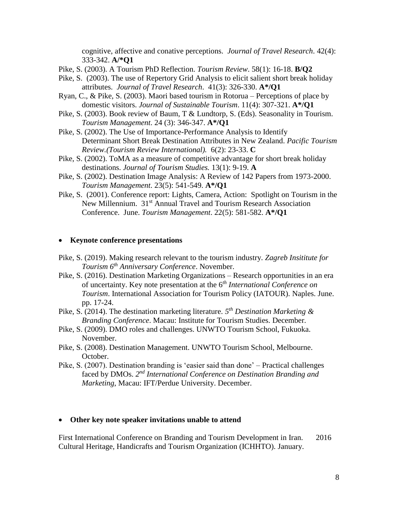cognitive, affective and conative perceptions. *Journal of Travel Research*. 42(4): 333-342. **A/\*Q1**

- Pike, S. (2003). A Tourism PhD Reflection. *Tourism Review*. 58(1): 16-18. **B/Q2**
- Pike, S. (2003). The use of Repertory Grid Analysis to elicit salient short break holiday attributes. *Journal of Travel Research*. 41(3): 326-330. **A\*/Q1**
- Ryan, C., & Pike, S. (2003). Maori based tourism in Rotorua Perceptions of place by domestic visitors. *Journal of Sustainable Tourism*. 11(4): 307-321. **A\*/Q1**
- Pike, S. (2003). Book review of Baum, T & Lundtorp, S. (Eds). Seasonality in Tourism. *Tourism Management*. 24 (3): 346-347. **A\*/Q1**
- Pike, S. (2002). The Use of Importance-Performance Analysis to Identify Determinant Short Break Destination Attributes in New Zealand. *Pacific Tourism Review.(Tourism Review International).* 6(2): 23-33. **C**
- Pike, S. (2002). ToMA as a measure of competitive advantage for short break holiday destinations. *Journal of Tourism Studies.* 13(1): 9-19. **A**
- Pike, S. (2002). Destination Image Analysis: A Review of 142 Papers from 1973-2000. *Tourism Management*. 23(5): 541-549. **A\*/Q1**
- Pike, S. (2001). Conference report: Lights, Camera, Action: Spotlight on Tourism in the New Millennium. 31<sup>st</sup> Annual Travel and Tourism Research Association Conference. June. *Tourism Management*. 22(5): 581-582. **A\*/Q1**

#### **Keynote conference presentations**

- Pike, S. (2019). Making research relevant to the tourism industry. *Zagreb Insititute for Tourism 6th Anniversary Conference*. November.
- Pike, S. (2016). Destination Marketing Organizations Research opportunities in an era of uncertainty. Key note presentation at the 6 *th International Conference on Tourism*. International Association for Tourism Policy (IATOUR). Naples. June. pp. 17-24.
- Pike, S. (2014). The destination marketing literature. *5 th Destination Marketing & Branding Conference*. Macau: Institute for Tourism Studies. December.
- Pike, S. (2009). DMO roles and challenges. UNWTO Tourism School, Fukuoka. November.
- Pike, S. (2008). Destination Management. UNWTO Tourism School, Melbourne. October.
- Pike, S. (2007). Destination branding is 'easier said than done' Practical challenges faced by DMOs. 2<sup>nd</sup> International Conference on Destination Branding and *Marketing*, Macau: IFT/Perdue University. December.

#### **Other key note speaker invitations unable to attend**

First International Conference on Branding and Tourism Development in Iran. 2016 Cultural Heritage, Handicrafts and Tourism Organization (ICHHTO). January.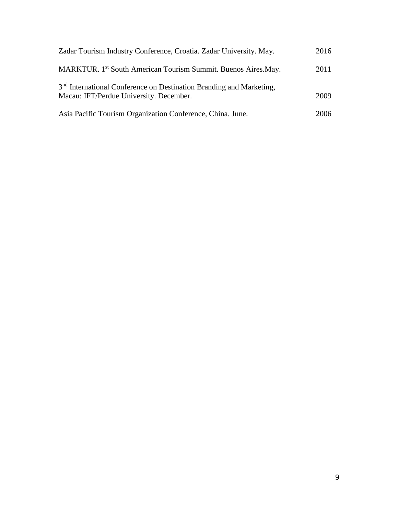| Zadar Tourism Industry Conference, Croatia. Zadar University. May.                                                         | 2016 |
|----------------------------------------------------------------------------------------------------------------------------|------|
| MARKTUR. 1 <sup>st</sup> South American Tourism Summit. Buenos Aires. May.                                                 | 2011 |
| 3 <sup>nd</sup> International Conference on Destination Branding and Marketing,<br>Macau: IFT/Perdue University. December. | 2009 |
| Asia Pacific Tourism Organization Conference, China. June.                                                                 | 2006 |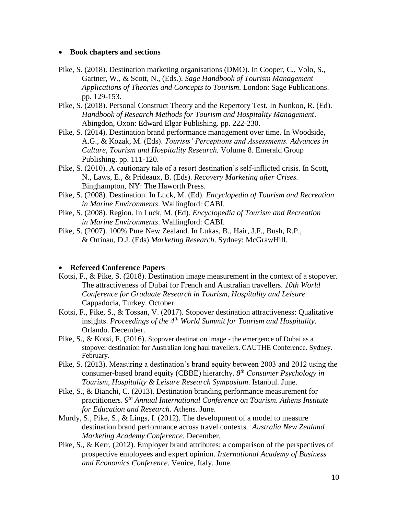#### **Book chapters and sections**

- Pike, S. (2018). Destination marketing organisations (DMO). In Cooper, C., Volo, S., Gartner, W., & Scott, N., (Eds.). *Sage Handbook of Tourism Management* – *Applications of Theories and Concepts to Tourism*. London: Sage Publications. pp. 129-153.
- Pike, S. (2018). Personal Construct Theory and the Repertory Test. In Nunkoo, R. (Ed). *Handbook of Research Methods for Tourism and Hospitality Management*. Abingdon, Oxon: Edward Elgar Publishing. pp. 222-230.
- Pike, S. (2014). Destination brand performance management over time. In Woodside, A.G., & Kozak, M. (Eds). *Tourists' Perceptions and Assessments. Advances in Culture, Tourism and Hospitality Research.* Volume 8. Emerald Group Publishing. pp. 111-120.
- Pike, S. (2010). A cautionary tale of a resort destination's self-inflicted crisis. In Scott, N., Laws, E., & Prideaux, B. (Eds). *Recovery Marketing after Crises.*  Binghampton, NY: The Haworth Press.
- Pike, S. (2008). Destination. In Luck, M. (Ed). *Encyclopedia of Tourism and Recreation in Marine Environments*. Wallingford: CABI.
- Pike, S. (2008). Region. In Luck, M. (Ed). *Encyclopedia of Tourism and Recreation in Marine Environments*. Wallingford: CABI.
- Pike, S. (2007). 100% Pure New Zealand. In Lukas, B., Hair, J.F., Bush, R.P., & Ortinau, D.J. (Eds) *Marketing Research*. Sydney: McGrawHill.

#### **Refereed Conference Papers**

- Kotsi, F., & Pike, S. (2018). Destination image measurement in the context of a stopover. The attractiveness of Dubai for French and Australian travellers. *10th World Conference for Graduate Research in Tourism, Hospitality and Leisure.* Cappadocia, Turkey. October.
- Kotsi, F., Pike, S., & Tossan, V. (2017). Stopover destination attractiveness: Qualitative insights. *Proceedings of the 4th World Summit for Tourism and Hospitality.*  Orlando. December.
- Pike, S., & Kotsi, F. (2016). Stopover destination image the emergence of Dubai as a stopover destination for Australian long haul travellers. CAUTHE Conference. Sydney. February.
- Pike, S. (2013). Measuring a destination's brand equity between 2003 and 2012 using the consumer-based brand equity (CBBE) hierarchy. *8 th Consumer Psychology in Tourism, Hospitality & Leisure Research Symposium*. Istanbul. June.
- Pike, S., & Bianchi, C. (2013). Destination branding performance measurement for practitioners. *9 th Annual International Conference on Tourism. Athens Institute for Education and Research*. Athens. June.
- Murdy, S., Pike, S., & Lings, I. (2012). The development of a model to measure destination brand performance across travel contexts. *Australia New Zealand Marketing Academy Conference.* December.
- Pike, S., & Kerr. (2012). Employer brand attributes: a comparison of the perspectives of prospective employees and expert opinion. *International Academy of Business and Economics Conference*. Venice, Italy. June.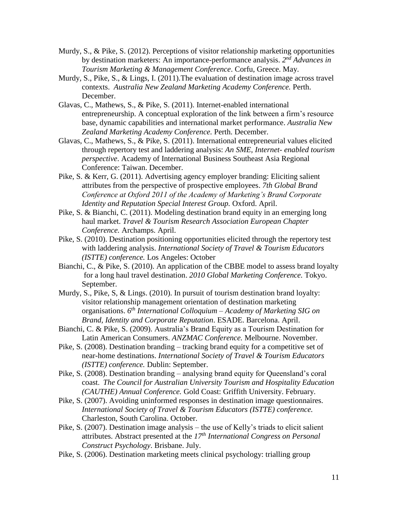- Murdy, S., & Pike, S. (2012). Perceptions of visitor relationship marketing opportunities by destination marketers: An importance-performance analysis. *2 nd Advances in Tourism Marketing & Management Conference*. Corfu, Greece. May.
- Murdy, S., Pike, S., & Lings, I. (2011).The evaluation of destination image across travel contexts. *Australia New Zealand Marketing Academy Conference.* Perth. December.
- Glavas, C., Mathews, S., & Pike, S. (2011). Internet-enabled international entrepreneurship. A conceptual exploration of the link between a firm's resource base, dynamic capabilities and international market performance. *Australia New Zealand Marketing Academy Conference.* Perth. December.
- Glavas, C., Mathews, S., & Pike, S. (2011). International entrepreneurial values elicited through repertory test and laddering analysis: *An SME, Internet- enabled tourism perspective*. Academy of International Business Southeast Asia Regional Conference: Taiwan. December.
- Pike, S. & Kerr, G. (2011). Advertising agency employer branding: Eliciting salient attributes from the perspective of prospective employees. *7th Global Brand Conference at Oxford 2011 of the Academy of Marketing's Brand Corporate Identity and Reputation Special Interest Group.* Oxford. April.
- Pike, S. & Bianchi, C. (2011). Modeling destination brand equity in an emerging long haul market. *Travel & Tourism Research Association European Chapter Conference.* Archamps. April.
- Pike, S. (2010). Destination positioning opportunities elicited through the repertory test with laddering analysis. *International Society of Travel & Tourism Educators (ISTTE) conference.* Los Angeles: October
- Bianchi, C., & Pike, S. (2010). An application of the CBBE model to assess brand loyalty for a long haul travel destination. *2010 Global Marketing Conference.* Tokyo. September.
- Murdy, S., Pike, S, & Lings. (2010). In pursuit of tourism destination brand loyalty: visitor relationship management orientation of destination marketing organisations. *6 th International Colloquium – Academy of Marketing SIG on Brand, Identity and Corporate Reputation*. ESADE. Barcelona. April.
- Bianchi, C. & Pike, S. (2009). Australia's Brand Equity as a Tourism Destination for Latin American Consumers. *ANZMAC Conference.* Melbourne. November.
- Pike, S. (2008). Destination branding tracking brand equity for a competitive set of near-home destinations. *International Society of Travel & Tourism Educators (ISTTE) conference.* Dublin: September.
- Pike, S. (2008). Destination branding analysing brand equity for Queensland's coral coast. *The Council for Australian University Tourism and Hospitality Education (CAUTHE) Annual Conference.* Gold Coast: Griffith University. February.
- Pike, S. (2007). Avoiding uninformed responses in destination image questionnaires. *International Society of Travel & Tourism Educators (ISTTE) conference.* Charleston, South Carolina. October.
- Pike, S. (2007). Destination image analysis the use of Kelly's triads to elicit salient attributes. Abstract presented at the *17th International Congress on Personal Construct Psychology*. Brisbane. July.
- Pike, S. (2006). Destination marketing meets clinical psychology: trialling group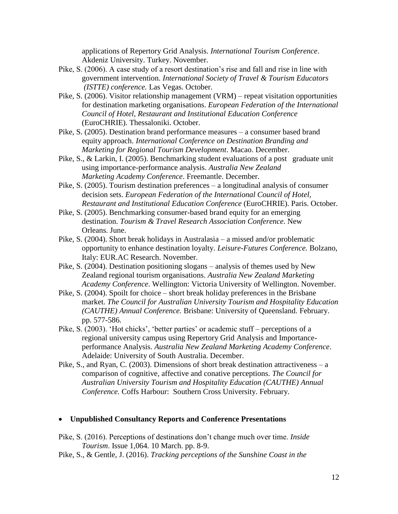applications of Repertory Grid Analysis. *International Tourism Conference*. Akdeniz University. Turkey. November.

- Pike, S. (2006). A case study of a resort destination's rise and fall and rise in line with government intervention. *International Society of Travel & Tourism Educators (ISTTE) conference.* Las Vegas. October.
- Pike, S. (2006). Visitor relationship management (VRM) repeat visitation opportunities for destination marketing organisations. *European Federation of the International Council of Hotel, Restaurant and Institutional Education Conference* (EuroCHRIE). Thessaloniki. October.
- Pike, S. (2005). Destination brand performance measures a consumer based brand equity approach. *International Conference on Destination Branding and Marketing for Regional Tourism Development*. Macao. December.
- Pike, S., & Larkin, I. (2005). Benchmarking student evaluations of a post graduate unit using importance-performance analysis. *Australia New Zealand Marketing Academy Conference*. Freemantle. December.
- Pike, S. (2005). Tourism destination preferences a longitudinal analysis of consumer decision sets. *European Federation of the International Council of Hotel, Restaurant and Institutional Education Conference* (EuroCHRIE). Paris. October.
- Pike, S. (2005). Benchmarking consumer-based brand equity for an emerging destination. *Tourism & Travel Research Association Conference*. New Orleans. June.
- Pike, S. (2004). Short break holidays in Australasia a missed and/or problematic opportunity to enhance destination loyalty. *Leisure-Futures Conference.* Bolzano, Italy: EUR.AC Research. November.
- Pike, S. (2004). Destination positioning slogans analysis of themes used by New Zealand regional tourism organisations. *Australia New Zealand Marketing Academy Conference*. Wellington: Victoria University of Wellington. November.
- Pike, S. (2004). Spoilt for choice short break holiday preferences in the Brisbane market. *The Council for Australian University Tourism and Hospitality Education (CAUTHE) Annual Conference.* Brisbane: University of Queensland. February. pp. 577-586.
- Pike, S. (2003). 'Hot chicks', 'better parties' or academic stuff perceptions of a regional university campus using Repertory Grid Analysis and Importanceperformance Analysis. *Australia New Zealand Marketing Academy Conference*. Adelaide: University of South Australia. December.
- Pike, S., and Ryan, C. (2003). Dimensions of short break destination attractiveness a comparison of cognitive, affective and conative perceptions. *The Council for Australian University Tourism and Hospitality Education (CAUTHE) Annual Conference.* Coffs Harbour: Southern Cross University. February.

#### **Unpublished Consultancy Reports and Conference Presentations**

- Pike, S. (2016). Perceptions of destinations don't change much over time. *Inside Tourism*. Issue 1,064. 10 March. pp. 8-9.
- Pike, S., & Gentle, J. (2016). *Tracking perceptions of the Sunshine Coast in the*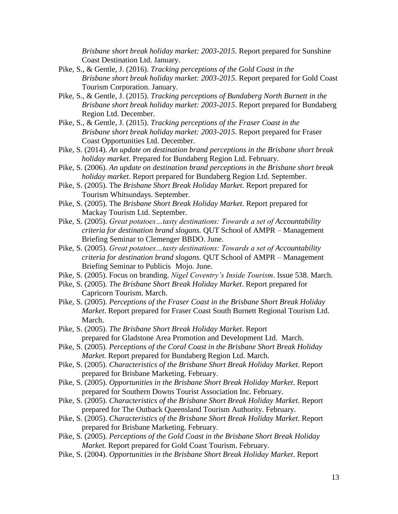*Brisbane short break holiday market: 2003-2015*. Report prepared for Sunshine Coast Destination Ltd. January.

- Pike, S., & Gentle, J. (2016). *Tracking perceptions of the Gold Coast in the Brisbane short break holiday market: 2003-2015*. Report prepared for Gold Coast Tourism Corporation. January.
- Pike, S., & Gentle, J. (2015). *Tracking perceptions of Bundaberg North Burnett in the Brisbane short break holiday market: 2003-2015*. Report prepared for Bundaberg Region Ltd. December.
- Pike, S., & Gentle, J. (2015). *Tracking perceptions of the Fraser Coast in the Brisbane short break holiday market: 2003-2015*. Report prepared for Fraser Coast Opportunities Ltd. December.
- Pike, S. (2014). *An update on destination brand perceptions in the Brisbane short break holiday market*. Prepared for Bundaberg Region Ltd. February.
- Pike, S. (2006). *An update on destination brand perceptions in the Brisbane short break holiday market*. Report prepared for Bundaberg Region Ltd. September.
- Pike, S. (2005). The *Brisbane Short Break Holiday Market.* Report prepared for Tourism Whitsundays. September.
- Pike, S. (2005). The *Brisbane Short Break Holiday Market.* Report prepared for Mackay Tourism Ltd. September.
- Pike, S. (2005). *Great potatoes…tasty destinations: Towards a set of Accountability criteria for destination brand slogans.* QUT School of AMPR – Management Briefing Seminar to Clemenger BBDO. June.
- Pike, S. (2005). *Great potatoes…tasty destinations: Towards a set of Accountability criteria for destination brand slogans.* QUT School of AMPR – Management Briefing Seminar to Publicis Mojo. June.
- Pike, S. (2005). Focus on branding. *Nigel Coventry's Inside Tourism*. Issue 538. March.
- Pike, S. (2005). *The Brisbane Short Break Holiday Market*. Report prepared for Capricorn Tourism. March.
- Pike, S. (2005). *Perceptions of the Fraser Coast in the Brisbane Short Break Holiday Market*. Report prepared for Fraser Coast South Burnett Regional Tourism Ltd. March.
- Pike, S. (2005). *The Brisbane Short Break Holiday Market*. Report prepared for Gladstone Area Promotion and Development Ltd. March.
- Pike, S. (2005). *Perceptions of the Coral Coast in the Brisbane Short Break Holiday Market*. Report prepared for Bundaberg Region Ltd. March.
- Pike, S. (2005). *Characteristics of the Brisbane Short Break Holiday Market*. Report prepared for Brisbane Marketing. February.
- Pike, S. (2005). *Opportunities in the Brisbane Short Break Holiday Market*. Report prepared for Southern Downs Tourist Association Inc. February.
- Pike, S. (2005). *Characteristics of the Brisbane Short Break Holiday Market*. Report prepared for The Outback Queensland Tourism Authority. February.
- Pike, S. (2005). *Characteristics of the Brisbane Short Break Holiday Market*. Report prepared for Brisbane Marketing. February.
- Pike, S. (2005). *Perceptions of the Gold Coast in the Brisbane Short Break Holiday Market*. Report prepared for Gold Coast Tourism. February.
- Pike, S. (2004). *Opportunities in the Brisbane Short Break Holiday Market*. Report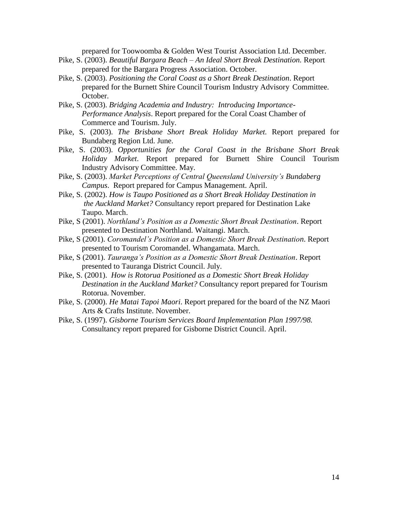prepared for Toowoomba & Golden West Tourist Association Ltd. December.

- Pike, S. (2003). *Beautiful Bargara Beach – An Ideal Short Break Destination.* Report prepared for the Bargara Progress Association. October.
- Pike, S. (2003). *Positioning the Coral Coast as a Short Break Destination*. Report prepared for the Burnett Shire Council Tourism Industry Advisory Committee. October.
- Pike, S. (2003). *Bridging Academia and Industry: Introducing Importance-Performance Analysis*. Report prepared for the Coral Coast Chamber of Commerce and Tourism. July.
- Pike, S. (2003). *The Brisbane Short Break Holiday Market.* Report prepared for Bundaberg Region Ltd. June.
- Pike, S. (2003). *Opportunities for the Coral Coast in the Brisbane Short Break Holiday Market*. Report prepared for Burnett Shire Council Tourism Industry Advisory Committee. May.
- Pike, S. (2003). *Market Perceptions of Central Queensland University's Bundaberg Campus*. Report prepared for Campus Management. April.
- Pike, S. (2002). *How is Taupo Positioned as a Short Break Holiday Destination in the Auckland Market?* Consultancy report prepared for Destination Lake Taupo. March.
- Pike, S (2001). *Northland's Position as a Domestic Short Break Destination*. Report presented to Destination Northland. Waitangi. March.
- Pike, S (2001). *Coromandel's Position as a Domestic Short Break Destination*. Report presented to Tourism Coromandel. Whangamata. March.
- Pike, S (2001). *Tauranga's Position as a Domestic Short Break Destination*. Report presented to Tauranga District Council. July.
- Pike, S. (2001). *How is Rotorua Positioned as a Domestic Short Break Holiday Destination in the Auckland Market?* Consultancy report prepared for Tourism Rotorua. November.
- Pike, S. (2000). *He Matai Tapoi Maori*. Report prepared for the board of the NZ Maori Arts & Crafts Institute. November.
- Pike, S. (1997). *Gisborne Tourism Services Board Implementation Plan 1997/98.*  Consultancy report prepared for Gisborne District Council. April.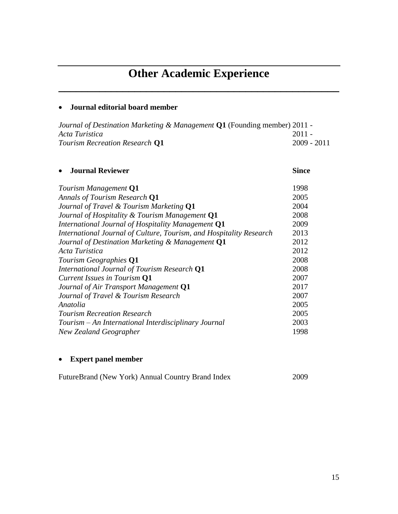# **Other Academic Experience**

**\_\_\_\_\_\_\_\_\_\_\_\_\_\_\_\_\_\_\_\_\_\_\_\_\_\_\_\_\_\_\_\_\_\_\_\_\_\_\_\_\_\_\_\_\_\_\_\_**

# **Journal editorial board member**

| Journal of Destination Marketing & Management $Q1$ (Founding member) 2011 - |               |
|-----------------------------------------------------------------------------|---------------|
| Acta Turistica                                                              | $2011 -$      |
| Tourism Recreation Research Q1                                              | $2009 - 2011$ |

# **Journal Reviewer Since**

| Tourism Management Q1                                               | 1998 |
|---------------------------------------------------------------------|------|
| Annals of Tourism Research Q1                                       | 2005 |
| Journal of Travel & Tourism Marketing Q1                            | 2004 |
| Journal of Hospitality & Tourism Management Q1                      | 2008 |
| International Journal of Hospitality Management Q1                  | 2009 |
| International Journal of Culture, Tourism, and Hospitality Research | 2013 |
| Journal of Destination Marketing & Management Q1                    | 2012 |
| Acta Turistica                                                      | 2012 |
| Tourism Geographies Q1                                              | 2008 |
| International Journal of Tourism Research Q1                        | 2008 |
| Current Issues in Tourism Q1                                        | 2007 |
| Journal of Air Transport Management Q1                              | 2017 |
| Journal of Travel & Tourism Research                                | 2007 |
| Anatolia                                                            | 2005 |
| <b>Tourism Recreation Research</b>                                  | 2005 |
| Tourism – An International Interdisciplinary Journal                | 2003 |
| New Zealand Geographer                                              | 1998 |

# **Expert panel member**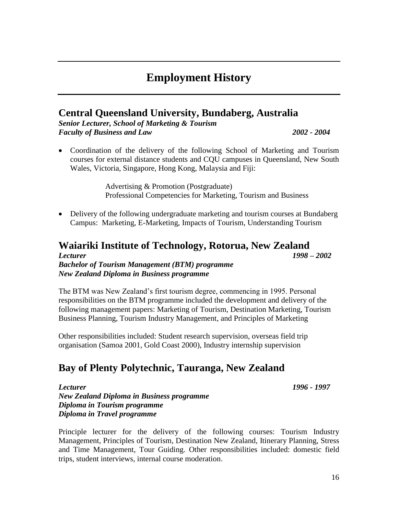# **Employment History**

# **Central Queensland University, Bundaberg, Australia**

*Senior Lecturer, School of Marketing & Tourism Faculty of Business and Law 2002 - 2004*

 Coordination of the delivery of the following School of Marketing and Tourism courses for external distance students and CQU campuses in Queensland, New South Wales, Victoria, Singapore, Hong Kong, Malaysia and Fiji:

> Advertising & Promotion (Postgraduate) Professional Competencies for Marketing, Tourism and Business

• Delivery of the following undergraduate marketing and tourism courses at Bundaberg Campus: Marketing, E-Marketing, Impacts of Tourism, Understanding Tourism

# **Waiariki Institute of Technology, Rotorua, New Zealand** *Lecturer 1998 – 2002 Bachelor of Tourism Management (BTM) programme New Zealand Diploma in Business programme*

The BTM was New Zealand's first tourism degree, commencing in 1995. Personal responsibilities on the BTM programme included the development and delivery of the following management papers: Marketing of Tourism, Destination Marketing, Tourism Business Planning, Tourism Industry Management, and Principles of Marketing

Other responsibilities included: Student research supervision, overseas field trip organisation (Samoa 2001, Gold Coast 2000), Industry internship supervision

# **Bay of Plenty Polytechnic, Tauranga, New Zealand**

*Lecturer 1996 - 1997 New Zealand Diploma in Business programme Diploma in Tourism programme Diploma in Travel programme*

Principle lecturer for the delivery of the following courses: Tourism Industry Management, Principles of Tourism, Destination New Zealand, Itinerary Planning, Stress and Time Management, Tour Guiding. Other responsibilities included: domestic field trips, student interviews, internal course moderation.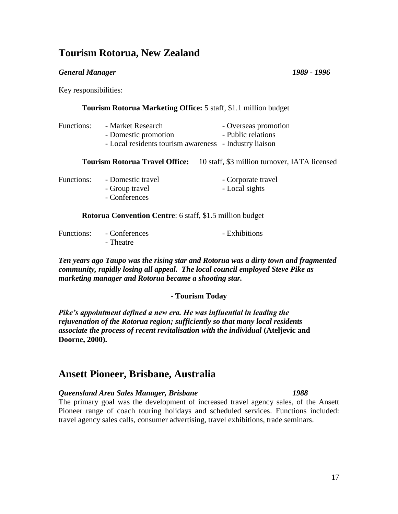# **Tourism Rotorua, New Zealand**

#### *General Manager 1989 - 1996*

Key responsibilities:

| Tourism Rotorua Marketing Office: 5 staff, \$1.1 million budget |                                                                                                     |                                               |
|-----------------------------------------------------------------|-----------------------------------------------------------------------------------------------------|-----------------------------------------------|
| Functions:                                                      | - Market Research<br>- Domestic promotion<br>- Local residents tourism awareness - Industry liaison | - Overseas promotion<br>- Public relations    |
|                                                                 | <b>Tourism Rotorua Travel Office:</b>                                                               | 10 staff, \$3 million turnover, IATA licensed |
| Functions:                                                      | - Domestic travel<br>- Group travel<br>- Conferences                                                | - Corporate travel<br>- Local sights          |
|                                                                 | <b>Rotorua Convention Centre:</b> 6 staff, \$1.5 million budget                                     |                                               |
|                                                                 | $\Gamma$ $\Lambda$                                                                                  | $\mathbf{r}$ 1 1 $\mathbf{r}$                 |

| Functions: | - Conferences | - Exhibitions |
|------------|---------------|---------------|
|            | - Theatre     |               |

*Ten years ago Taupo was the rising star and Rotorua was a dirty town and fragmented community, rapidly losing all appeal. The local council employed Steve Pike as marketing manager and Rotorua became a shooting star.*

## **- Tourism Today**

*Pike's appointment defined a new era. He was influential in leading the rejuvenation of the Rotorua region; sufficiently so that many local residents associate the process of recent revitalisation with the individual* **(Ateljevic and Doorne, 2000).**

# **Ansett Pioneer, Brisbane, Australia**

#### *Queensland Area Sales Manager, Brisbane 1988*

The primary goal was the development of increased travel agency sales, of the Ansett Pioneer range of coach touring holidays and scheduled services. Functions included: travel agency sales calls, consumer advertising, travel exhibitions, trade seminars.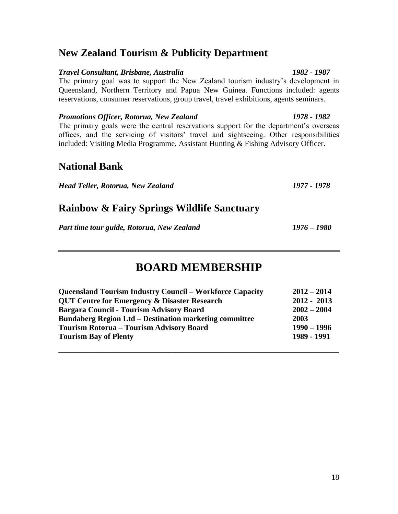# **New Zealand Tourism & Publicity Department**

## *Travel Consultant, Brisbane, Australia 1982 - 1987*

The primary goal was to support the New Zealand tourism industry's development in Queensland, Northern Territory and Papua New Guinea. Functions included: agents reservations, consumer reservations, group travel, travel exhibitions, agents seminars.

*Promotions Officer, Rotorua, New Zealand 1978 - 1982* The primary goals were the central reservations support for the department's overseas offices, and the servicing of visitors' travel and sightseeing. Other responsibilities included: Visiting Media Programme, Assistant Hunting & Fishing Advisory Officer.

# **National Bank**

*Head Teller, Rotorua, New Zealand 1977 - 1978*

# **Rainbow & Fairy Springs Wildlife Sanctuary**

*Part time tour guide, Rotorua, New Zealand 1976 – 1980*

# **BOARD MEMBERSHIP**

| <b>Queensland Tourism Industry Council – Workforce Capacity</b> | $2012 - 2014$ |
|-----------------------------------------------------------------|---------------|
| <b>QUT Centre for Emergency &amp; Disaster Research</b>         | $2012 - 2013$ |
| <b>Bargara Council - Tourism Advisory Board</b>                 | $2002 - 2004$ |
| <b>Bundaberg Region Ltd - Destination marketing committee</b>   | 2003          |
| <b>Tourism Rotorua - Tourism Advisory Board</b>                 | $1990 - 1996$ |
| <b>Tourism Bay of Plenty</b>                                    | 1989 - 1991   |
|                                                                 |               |